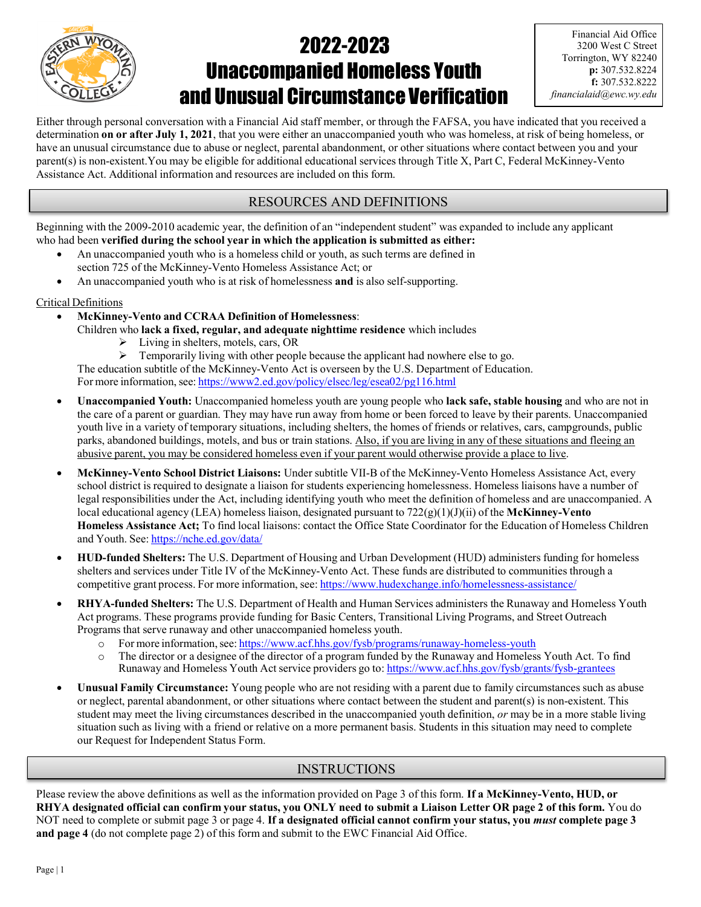

# 2022-2023 Unaccompanied Homeless Youth and Unusual Circumstance Verification

Either through personal conversation with a Financial Aid staff member, or through the FAFSA, you have indicated that you received a determination on or after July 1, 2021, that you were either an unaccompanied youth who was homeless, at risk of being homeless, or have an unusual circumstance due to abuse or neglect, parental abandonment, or other situations where contact between you and your parent(s) is non-existent.You may be eligible for additional educational services through Title X, Part C, Federal McKinney-Vento Assistance Act. Additional information and resources are included on this form.

# RESOURCES AND DEFINITIONS

Beginning with the 2009-2010 academic year, the definition of an "independent student" was expanded to include any applicant who had been verified during the school year in which the application is submitted as either:

- An unaccompanied youth who is a homeless child or youth, as such terms are defined in section 725 of the McKinney-Vento Homeless Assistance Act; or
- An unaccompanied youth who is at risk of homelessness and is also self-supporting.

### Critical Definitions

- McKinney-Vento and CCRAA Definition of Homelessness:
	- Children who lack a fixed, regular, and adequate nighttime residence which includes
		- Living in shelters, motels, cars, OR
		- $\triangleright$  Temporarily living with other people because the applicant had nowhere else to go.

The education subtitle of the McKinney-Vento Act is overseen by the U.S. Department of Education. For more information, see: https://www2.ed.gov/policy/elsec/leg/esea02/pg116.html

- Unaccompanied Youth: Unaccompanied homeless youth are young people who lack safe, stable housing and who are not in the care of a parent or guardian. They may have run away from home or been forced to leave by their parents. Unaccompanied youth live in a variety of temporary situations, including shelters, the homes of friends or relatives, cars, campgrounds, public parks, abandoned buildings, motels, and bus or train stations. Also, if you are living in any of these situations and fleeing an abusive parent, you may be considered homeless even if your parent would otherwise provide a place to live.
- McKinney-Vento School District Liaisons: Under subtitle VII-B of the McKinney-Vento Homeless Assistance Act, every school district is required to designate a liaison for students experiencing homelessness. Homeless liaisons have a number of legal responsibilities under the Act, including identifying youth who meet the definition of homeless and are unaccompanied. A local educational agency (LEA) homeless liaison, designated pursuant to  $722(g)(1)(J)(ii)$  of the McKinney-Vento Homeless Assistance Act; To find local liaisons: contact the Office State Coordinator for the Education of Homeless Children and Youth. See: https://nche.ed.gov/data/
- HUD-funded Shelters: The U.S. Department of Housing and Urban Development (HUD) administers funding for homeless shelters and services under Title IV of the McKinney-Vento Act. These funds are distributed to communities through a competitive grant process. For more information, see: https://www.hudexchange.info/homelessness-assistance/
- RHYA-funded Shelters: The U.S. Department of Health and Human Services administers the Runaway and Homeless Youth Act programs. These programs provide funding for Basic Centers, Transitional Living Programs, and Street Outreach Programs that serve runaway and other unaccompanied homeless youth.
	- o For more information, see: https://www.acf.hhs.gov/fysb/programs/runaway-homeless-youth
	- o The director or a designee of the director of a program funded by the Runaway and Homeless Youth Act. To find Runaway and Homeless Youth Act service providers go to: https://www.acf.hhs.gov/fysb/grants/fysb-grantees
- Unusual Family Circumstance: Young people who are not residing with a parent due to family circumstances such as abuse or neglect, parental abandonment, or other situations where contact between the student and parent(s) is non-existent. This student may meet the living circumstances described in the unaccompanied youth definition, or may be in a more stable living situation such as living with a friend or relative on a more permanent basis. Students in this situation may need to complete our Request for Independent Status Form.

# **INSTRUCTIONS**

Please review the above definitions as well as the information provided on Page 3 of this form. If a McKinney-Vento, HUD, or RHYA designated official can confirm your status, you ONLY need to submit a Liaison Letter OR page 2 of this form. You do NOT need to complete or submit page 3 or page 4. If a designated official cannot confirm your status, you *must* complete page 3 and page 4 (do not complete page 2) of this form and submit to the EWC Financial Aid Office.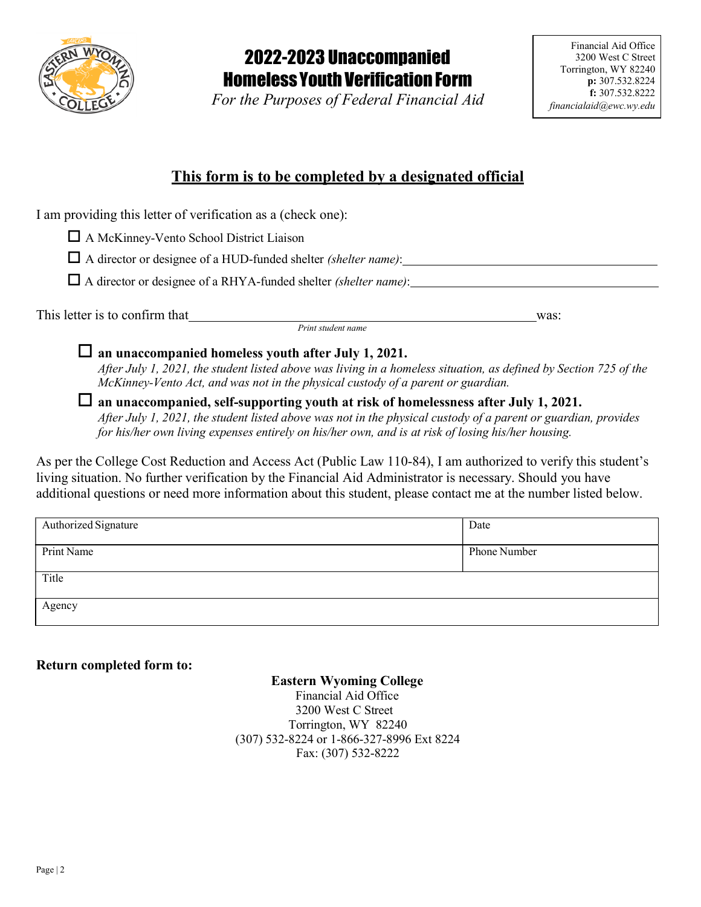

# 2022-2023 Unaccompanied Homeless Youth Verification Form

For the Purposes of Federal Financial Aid

# This form is to be completed by a designated official

I am providing this letter of verification as a (check one):

A McKinney-Vento School District Liaison

 $\Box$  A director or designee of a HUD-funded shelter *(shelter name)*:

 $\Box$  A director or designee of a RHYA-funded shelter *(shelter name)*:

This letter is to confirm that was:

Print student name

 $\Box$  an unaccompanied homeless youth after July 1, 2021.

After July 1, 2021, the student listed above was living in a homeless situation, as defined by Section 725 of the McKinney-Vento Act, and was not in the physical custody of a parent or guardian.

 $\Box$  an unaccompanied, self-supporting youth at risk of homelessness after July 1, 2021. After July 1, 2021, the student listed above was not in the physical custody of a parent or guardian, provides for his/her own living expenses entirely on his/her own, and is at risk of losing his/her housing.

As per the College Cost Reduction and Access Act (Public Law 110-84), I am authorized to verify this student's living situation. No further verification by the Financial Aid Administrator is necessary. Should you have additional questions or need more information about this student, please contact me at the number listed below.

| Authorized Signature | Date         |
|----------------------|--------------|
| Print Name           | Phone Number |
|                      |              |
| Title                |              |
| Agency               |              |
|                      |              |

# Return completed form to:

### Eastern Wyoming College

Financial Aid Office 3200 West C Street Torrington, WY 82240 (307) 532-8224 or 1-866-327-8996 Ext 8224 Fax: (307) 532-8222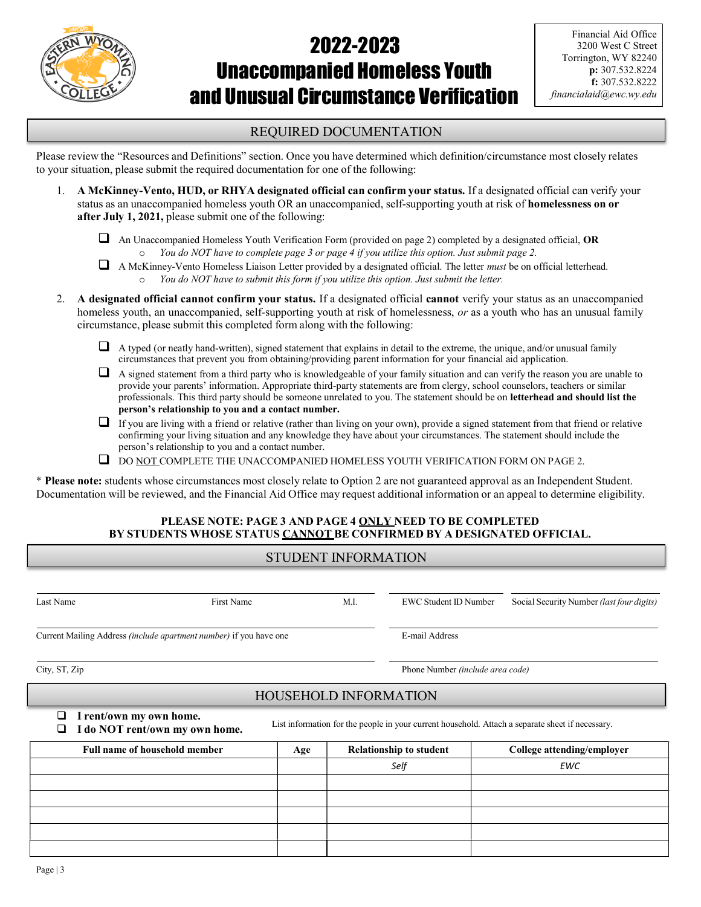

# 2022-2023 Unaccompanied Homeless Youth and Unusual Circumstance Verification

### REQUIRED DOCUMENTATION

Please review the "Resources and Definitions" section. Once you have determined which definition/circumstance most closely relates to your situation, please submit the required documentation for one of the following:

- 1. A McKinney-Vento, HUD, or RHYA designated official can confirm your status. If a designated official can verify your status as an unaccompanied homeless youth OR an unaccompanied, self-supporting youth at risk of homelessness on or after July 1, 2021, please submit one of the following:
	- $\Box$  An Unaccompanied Homeless Youth Verification Form (provided on page 2) completed by a designated official, OR You do NOT have to complete page 3 or page 4 if you utilize this option. Just submit page 2.
	- A McKinney-Vento Homeless Liaison Letter provided by a designated official. The letter must be on official letterhead. o You do NOT have to submit this form if you utilize this option. Just submit the letter.
- 2. A designated official cannot confirm your status. If a designated official cannot verify your status as an unaccompanied homeless youth, an unaccompanied, self-supporting youth at risk of homelessness, or as a youth who has an unusual family circumstance, please submit this completed form along with the following:
	- $\Box$  A typed (or neatly hand-written), signed statement that explains in detail to the extreme, the unique, and/or unusual family circumstances that prevent you from obtaining/providing parent information for your financial aid application.
	- $\Box$  A signed statement from a third party who is knowledgeable of your family situation and can verify the reason you are unable to provide your parents' information. Appropriate third-party statements are from clergy, school counselors, teachers or similar professionals. This third party should be someone unrelated to you. The statement should be on letterhead and should list the person's relationship to you and a contact number.
	- $\Box$  If you are living with a friend or relative (rather than living on your own), provide a signed statement from that friend or relative confirming your living situation and any knowledge they have about your circumstances. The statement should include the person's relationship to you and a contact number.
	- $\Box$  DO NOT COMPLETE THE UNACCOMPANIED HOMELESS YOUTH VERIFICATION FORM ON PAGE 2.

\* Please note: students whose circumstances most closely relate to Option 2 are not guaranteed approval as an Independent Student. Documentation will be reviewed, and the Financial Aid Office may request additional information or an appeal to determine eligibility.

### PLEASE NOTE: PAGE 3 AND PAGE 4 ONLY NEED TO BE COMPLETED BY STUDENTS WHOSE STATUS CANNOT BE CONFIRMED BY A DESIGNATED OFFICIAL.

# STUDENT INFORMATION

| Last Name                                                          | First Name                     |                              | M.I.                             | <b>EWC Student ID Number</b> | Social Security Number (last four digits)                                                        |  |
|--------------------------------------------------------------------|--------------------------------|------------------------------|----------------------------------|------------------------------|--------------------------------------------------------------------------------------------------|--|
| Current Mailing Address (include apartment number) if you have one |                                |                              |                                  | E-mail Address               |                                                                                                  |  |
| City, ST, Zip                                                      |                                |                              | Phone Number (include area code) |                              |                                                                                                  |  |
|                                                                    |                                | <b>HOUSEHOLD INFORMATION</b> |                                  |                              |                                                                                                  |  |
| I rent/own my own home.<br>. .<br>$\overline{\phantom{a}}$         | I do NOT rent/own my own home. |                              |                                  |                              | List information for the people in your current household. Attach a separate sheet if necessary. |  |
| <b>Full name of household member</b>                               |                                | Age                          | <b>Relationship to student</b>   |                              | College attending/employer                                                                       |  |
|                                                                    |                                |                              | Self                             |                              | <b>EWC</b>                                                                                       |  |
|                                                                    |                                |                              |                                  |                              |                                                                                                  |  |
|                                                                    |                                |                              |                                  |                              |                                                                                                  |  |
|                                                                    |                                |                              |                                  |                              |                                                                                                  |  |
|                                                                    |                                |                              |                                  |                              |                                                                                                  |  |
|                                                                    |                                |                              |                                  |                              |                                                                                                  |  |